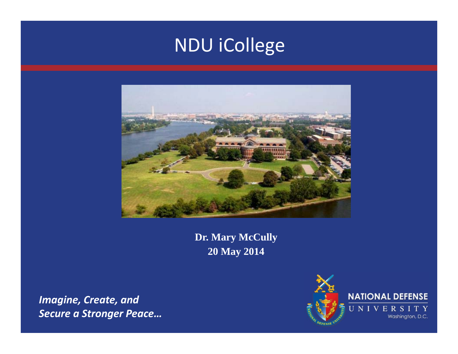# NDU iCollege



**Dr. Mary McCully 20 May 2014**

*Imagine, Create, and Secure a Stronger Peace…*

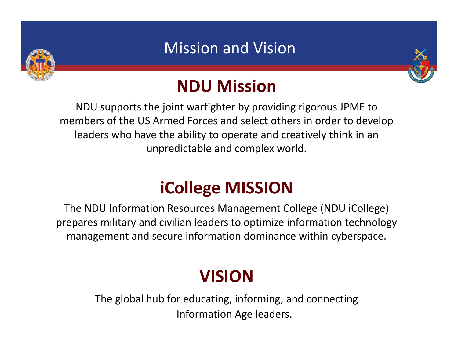

## Mission and Vision



# **NDU Mission**

NDU supports the joint warfighter by providing rigorous JPME to members of the US Armed Forces and select others in order to develop leaders who have the ability to operate and creatively think in an unpredictable and complex world.

# **iCollege MISSION**

The NDU Information Resources Management College (NDU iCollege) prepares military and civilian leaders to optimize information technology management and secure information dominance within cyberspace.

# **VISION**

The global hub for educating, informing, and connecting Information Age leaders.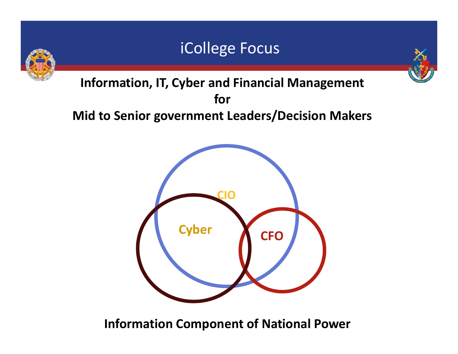## iCollege Focus





**Information, IT, Cyber and Financial Management forMid to Senior government Leaders/Decision Makers**



**Information Component of National Power**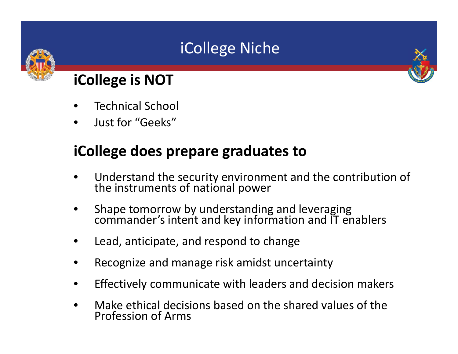# iCollege Niche



### **iCollege is NOT**

- •Technical School
- •Just for "Geeks"

## **iCollege does prepare graduates to**

- •Understand the security environment and the contribution of the instruments of national power
- •Shape tomorrow by understanding and leveraging commander's intent and key information and IT enablers
- •Lead, anticipate, and respond to change
- •Recognize and manage risk amidst uncertainty
- $\bullet$ Effectively communicate with leaders and decision makers
- $\bullet$  Make ethical decisions based on the shared values of the Profession of Arms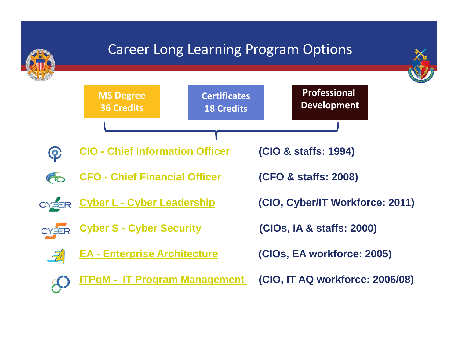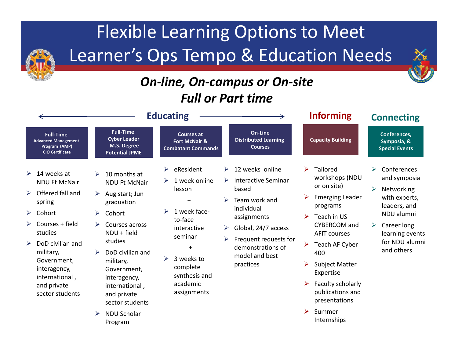# Flexible Learning Options to Meet Learner's Ops Tempo & Education Needs

#### *On ‐line, On ‐campus or On ‐site Full or Part time*

|                                                                                                                                                                                                                                                                       |                                                                                                                                                                                                                                                                                                                                                              | <b>Educating</b>                                                                                                                                                                                   |                                                                                                                                                                                                                         | <b>Informing</b>                                                                                                                                                                                                                                                                                                             | <b>Connecting</b>                                                                                                                                                                             |  |
|-----------------------------------------------------------------------------------------------------------------------------------------------------------------------------------------------------------------------------------------------------------------------|--------------------------------------------------------------------------------------------------------------------------------------------------------------------------------------------------------------------------------------------------------------------------------------------------------------------------------------------------------------|----------------------------------------------------------------------------------------------------------------------------------------------------------------------------------------------------|-------------------------------------------------------------------------------------------------------------------------------------------------------------------------------------------------------------------------|------------------------------------------------------------------------------------------------------------------------------------------------------------------------------------------------------------------------------------------------------------------------------------------------------------------------------|-----------------------------------------------------------------------------------------------------------------------------------------------------------------------------------------------|--|
| <b>Full-Time</b><br><b>Advanced Management</b><br>Program (AMP)<br><b>CIO Certificate</b>                                                                                                                                                                             | <b>Full-Time</b><br><b>Cyber Leader</b><br>M.S. Degree<br><b>Potential JPME</b>                                                                                                                                                                                                                                                                              | <b>Courses at</b><br><b>Fort McNair &amp;</b><br><b>Combatant Commands</b>                                                                                                                         | On-Line<br><b>Distributed Learning</b><br><b>Courses</b>                                                                                                                                                                | <b>Capacity Building</b>                                                                                                                                                                                                                                                                                                     | Conferences,<br>Symposia, &<br><b>Special Events</b>                                                                                                                                          |  |
| 14 weeks at<br>➤<br><b>NDU Ft McNair</b><br>Offered fall and<br>➤<br>spring<br>Cohort<br>➤<br>Courses + field<br>studies<br>DoD civilian and<br>$\blacktriangleright$<br>military,<br>Government,<br>interagency,<br>international,<br>and private<br>sector students | 10 months at<br>$\triangleright$<br><b>NDU Ft McNair</b><br>Aug start; Jun<br>➤<br>graduation<br>Cohort<br>$\blacktriangleright$<br>$\triangleright$<br>Courses across<br>$NDU + field$<br>studies<br>DoD civilian and<br>military,<br>Government,<br>interagency,<br>international,<br>and private<br>sector students<br><b>NDU Scholar</b><br>➤<br>Program | eResident<br>➤<br>1 week online<br>lesson<br>$\ddot{}$<br>1 week face-<br>⋗<br>to-face<br>interactive<br>seminar<br>$+$<br>3 weeks to<br>⋗<br>complete<br>synthesis and<br>academic<br>assignments | 12 weeks online<br>➤<br><b>Interactive Seminar</b><br>based<br>Team work and<br>individual<br>assignments<br>Global, 24/7 access<br>➤<br>Frequent requests for<br>➤<br>demonstrations of<br>model and best<br>practices | Tailored<br>➤<br>workshops (NDU<br>or on site)<br><b>Emerging Leader</b><br>➤<br>programs<br>Teach in US<br>➤<br><b>CYBERCOM</b> and<br><b>AFIT courses</b><br>Teach AF Cyber<br>➤<br>400<br><b>Subject Matter</b><br>➤<br>Expertise<br>Faculty scholarly<br>publications and<br>presentations<br>Summer<br>➤<br>Internships | $\blacktriangleright$<br>Conferences<br>and symposia<br>➤<br>Networking<br>with experts,<br>leaders, and<br>NDU alumni<br>Career long<br>➤<br>learning events<br>for NDU alumni<br>and others |  |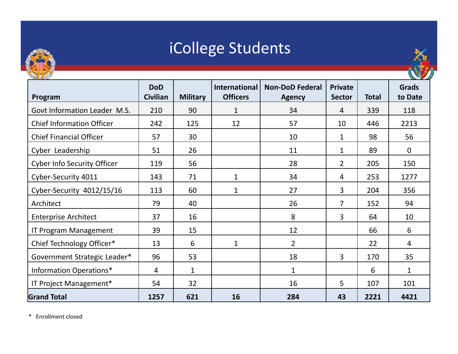

# iCollege Students



| Program                            | <b>DoD</b><br><b>Civilian</b> | <b>Military</b> | International<br><b>Officers</b> | <b>Non-DoD Federal</b><br><b>Agency</b> | <b>Private</b><br><b>Sector</b> | <b>Total</b> | <b>Grads</b><br>to Date |
|------------------------------------|-------------------------------|-----------------|----------------------------------|-----------------------------------------|---------------------------------|--------------|-------------------------|
| Govt Information Leader M.S.       | 210                           | 90              | $\mathbf{1}$                     | 34                                      | $\overline{4}$                  | 339          | 118                     |
| <b>Chief Information Officer</b>   | 242                           | 125             | 12                               | 57                                      | 10                              | 446          | 2213                    |
| <b>Chief Financial Officer</b>     | 57                            | 30              |                                  | 10                                      | 1                               | 98           | 56                      |
| Cyber Leadership                   | 51                            | 26              |                                  | 11                                      | 1                               | 89           | $\mathbf 0$             |
| <b>Cyber Info Security Officer</b> | 119                           | 56              |                                  | 28                                      | $2^{\circ}$                     | 205          | 150                     |
| Cyber-Security 4011                | 143                           | 71              | $\mathbf{1}$                     | 34                                      | 4                               | 253          | 1277                    |
| Cyber-Security 4012/15/16          | 113                           | 60              | $\mathbf{1}$                     | 27                                      | 3                               | 204          | 356                     |
| Architect                          | 79                            | 40              |                                  | 26                                      | $\overline{7}$                  | 152          | 94                      |
| <b>Enterprise Architect</b>        | 37                            | 16              |                                  | 8                                       | $\overline{3}$                  | 64           | 10                      |
| IT Program Management              | 39                            | 15              |                                  | 12                                      |                                 | 66           | 6                       |
| Chief Technology Officer*          | 13                            | 6               | $\mathbf 1$                      | $\overline{2}$                          |                                 | 22           | 4                       |
| Government Strategic Leader*       | 96                            | 53              |                                  | 18                                      | $\overline{3}$                  | 170          | 35                      |
| Information Operations*            | 4                             | $\mathbf{1}$    |                                  | $\mathbf{1}$                            |                                 | 6            | $\mathbf{1}$            |
| IT Project Management*             | 54                            | 32              |                                  | 16                                      | 5                               | 107          | 101                     |
| <b>Grand Total</b>                 | 1257                          | 621             | 16                               | 284                                     | 43                              | 2221         | 4421                    |

\* Enrollment closed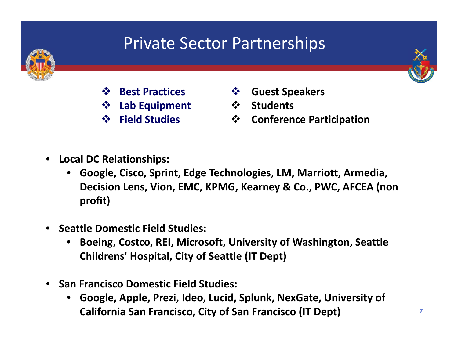# Private Sector Partnerships



- **Best Practices**
- **Lab Equipment**
- **Field Studies**
- **Guest Speakers**
- **Students**
- $\frac{1}{2}$ **Conference Participation**

- • **Local DC Relationships:**
	- • **Google, Cisco, Sprint, Edge Technologies, LM, Marriott, Armedia, Decision Lens, Vion, EMC, KPMG, Kearney & Co., PWC, AFCEA (non profit)**
- • **Seattle Domestic Field Studies:**
	- • **Boeing, Costco, REI, Microsoft, University of Washington, Seattle Childrens' Hospital, City of Seattle (IT Dept)**
- $\bullet$  **San Francisco Domestic Field Studies:**
	- • **Google, Apple, Prezi, Ideo, Lucid, Splunk, NexGate, University of California San Francisco, City of San Francisco (IT Dept)**